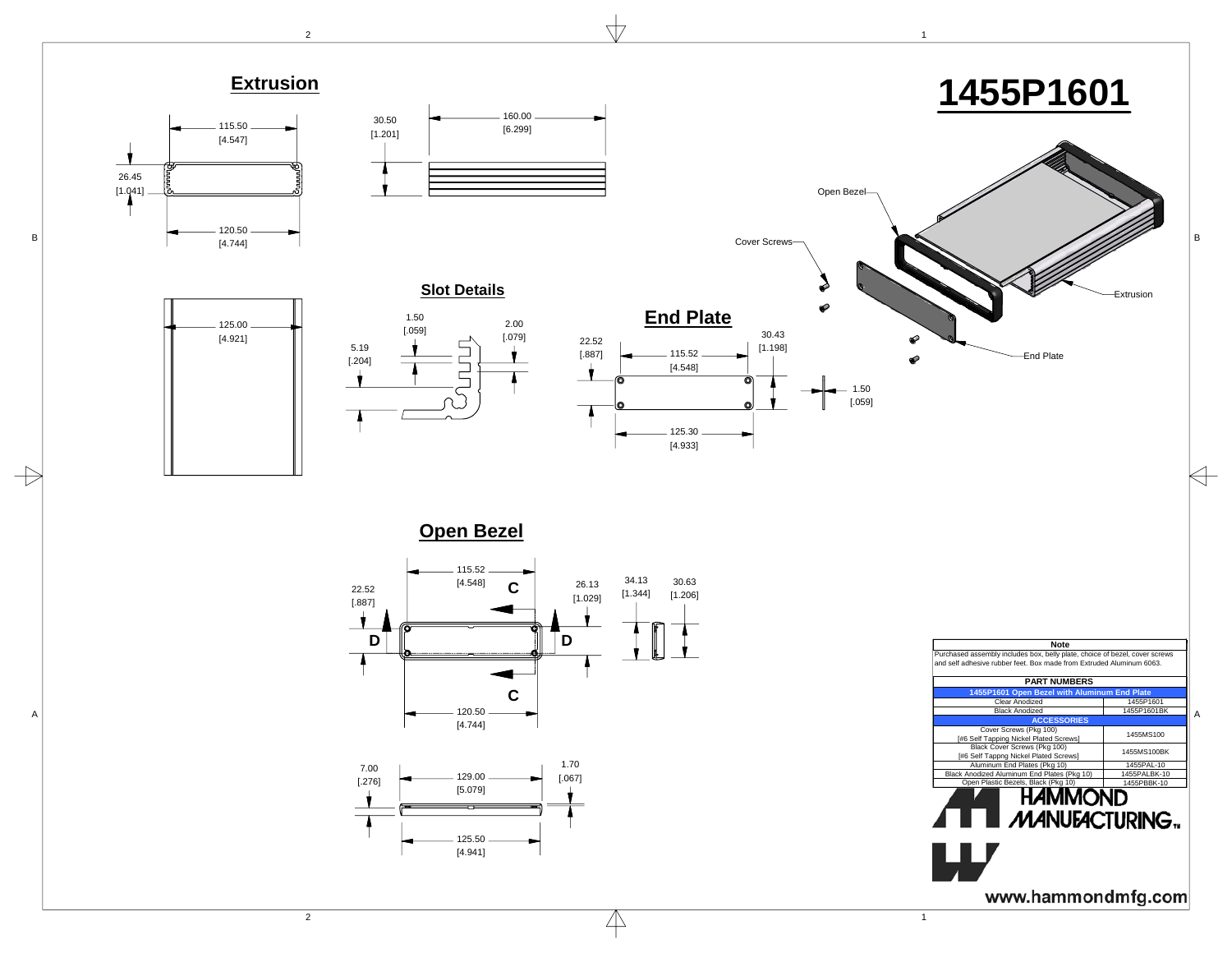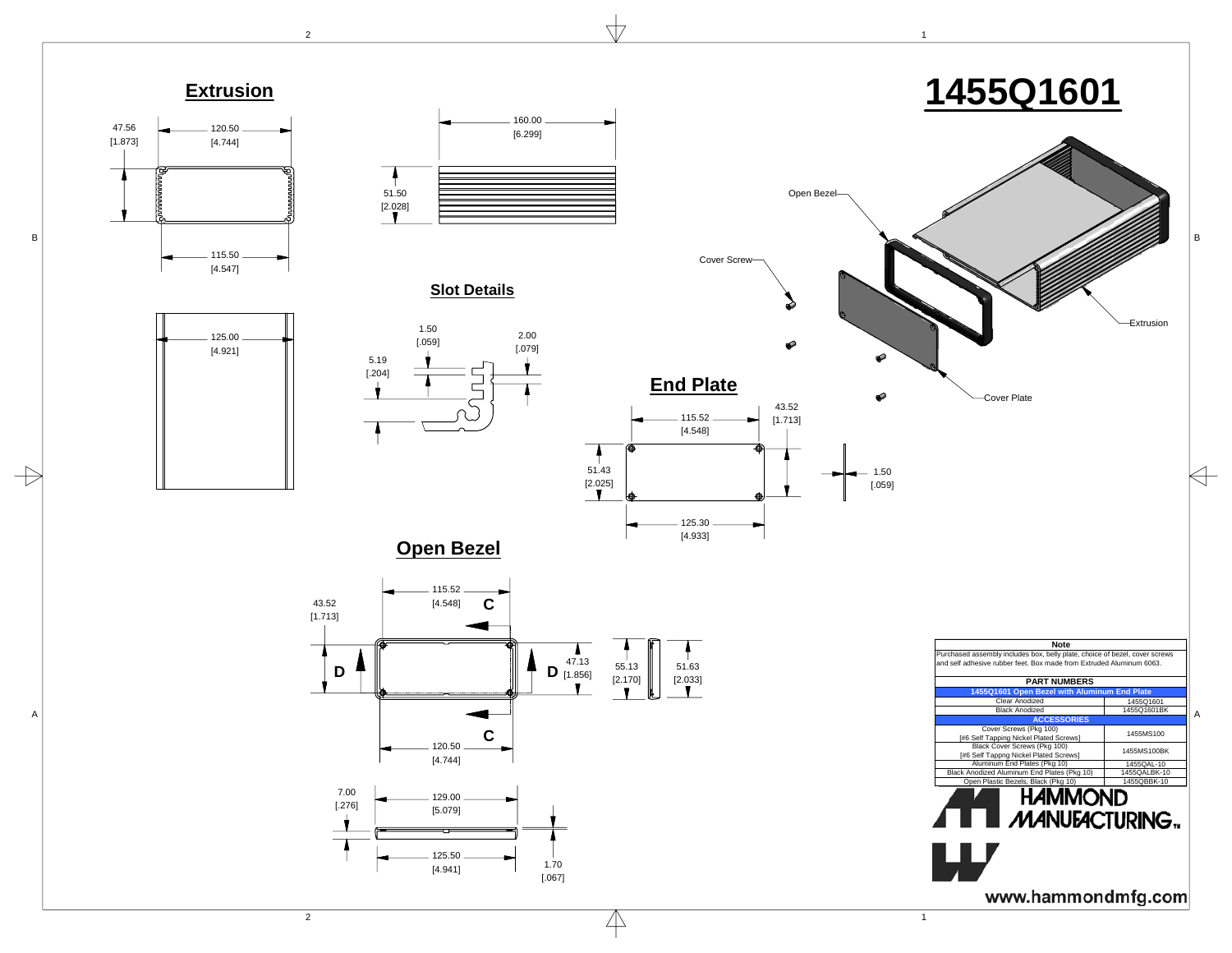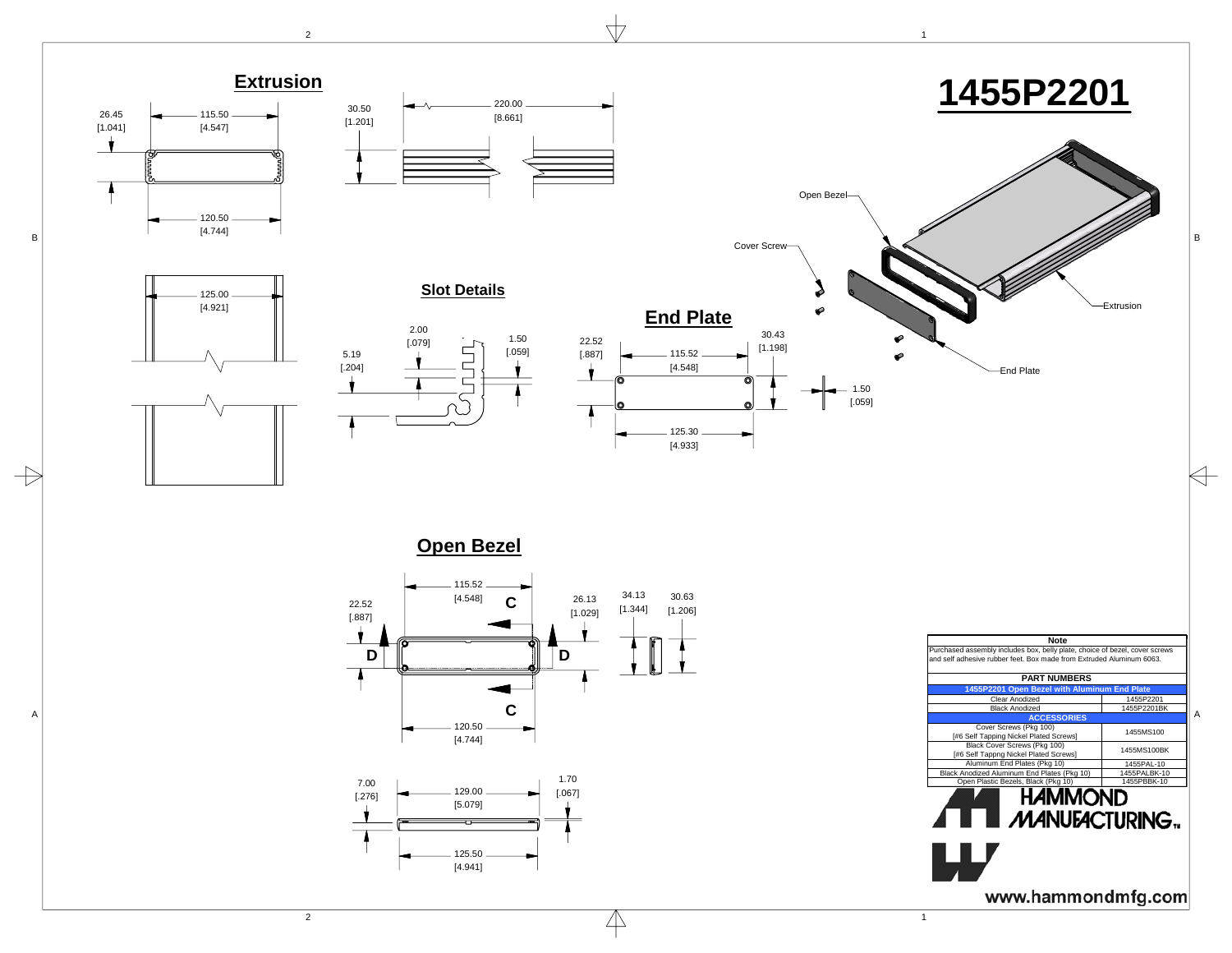